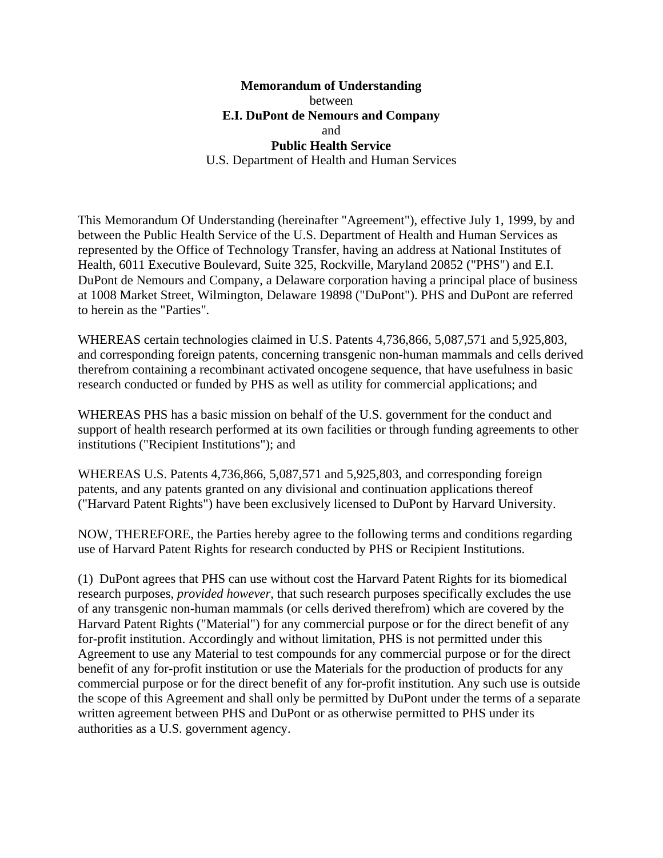## **Memorandum of Understanding**  between **E.I. DuPont de Nemours and Company**  and **Public Health Service**  U.S. Department of Health and Human Services

This Memorandum Of Understanding (hereinafter "Agreement"), effective July 1, 1999, by and between the Public Health Service of the U.S. Department of Health and Human Services as represented by the Office of Technology Transfer, having an address at National Institutes of Health, 6011 Executive Boulevard, Suite 325, Rockville, Maryland 20852 ("PHS") and E.I. DuPont de Nemours and Company, a Delaware corporation having a principal place of business at 1008 Market Street, Wilmington, Delaware 19898 ("DuPont"). PHS and DuPont are referred to herein as the "Parties".

WHEREAS certain technologies claimed in U.S. Patents 4,736,866, 5,087,571 and 5,925,803, and corresponding foreign patents, concerning transgenic non-human mammals and cells derived therefrom containing a recombinant activated oncogene sequence, that have usefulness in basic research conducted or funded by PHS as well as utility for commercial applications; and

WHEREAS PHS has a basic mission on behalf of the U.S. government for the conduct and support of health research performed at its own facilities or through funding agreements to other institutions ("Recipient Institutions"); and

WHEREAS U.S. Patents 4,736,866, 5,087,571 and 5,925,803, and corresponding foreign patents, and any patents granted on any divisional and continuation applications thereof ("Harvard Patent Rights") have been exclusively licensed to DuPont by Harvard University.

NOW, THEREFORE, the Parties hereby agree to the following terms and conditions regarding use of Harvard Patent Rights for research conducted by PHS or Recipient Institutions.

(1) DuPont agrees that PHS can use without cost the Harvard Patent Rights for its biomedical research purposes, *provided however*, that such research purposes specifically excludes the use of any transgenic non-human mammals (or cells derived therefrom) which are covered by the Harvard Patent Rights ("Material") for any commercial purpose or for the direct benefit of any for-profit institution. Accordingly and without limitation, PHS is not permitted under this Agreement to use any Material to test compounds for any commercial purpose or for the direct benefit of any for-profit institution or use the Materials for the production of products for any commercial purpose or for the direct benefit of any for-profit institution. Any such use is outside the scope of this Agreement and shall only be permitted by DuPont under the terms of a separate written agreement between PHS and DuPont or as otherwise permitted to PHS under its authorities as a U.S. government agency.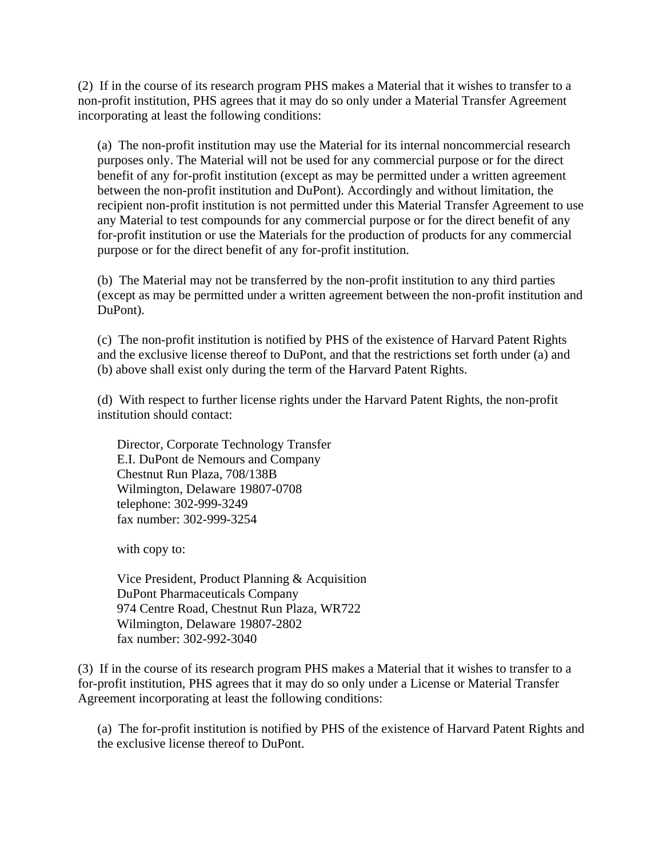(2) If in the course of its research program PHS makes a Material that it wishes to transfer to a non-profit institution, PHS agrees that it may do so only under a Material Transfer Agreement incorporating at least the following conditions:

(a) The non-profit institution may use the Material for its internal noncommercial research purposes only. The Material will not be used for any commercial purpose or for the direct benefit of any for-profit institution (except as may be permitted under a written agreement between the non-profit institution and DuPont). Accordingly and without limitation, the recipient non-profit institution is not permitted under this Material Transfer Agreement to use any Material to test compounds for any commercial purpose or for the direct benefit of any for-profit institution or use the Materials for the production of products for any commercial purpose or for the direct benefit of any for-profit institution.

(b) The Material may not be transferred by the non-profit institution to any third parties (except as may be permitted under a written agreement between the non-profit institution and DuPont).

(c) The non-profit institution is notified by PHS of the existence of Harvard Patent Rights and the exclusive license thereof to DuPont, and that the restrictions set forth under (a) and (b) above shall exist only during the term of the Harvard Patent Rights.

(d) With respect to further license rights under the Harvard Patent Rights, the non-profit institution should contact:

Director, Corporate Technology Transfer E.I. DuPont de Nemours and Company Chestnut Run Plaza, 708/138B Wilmington, Delaware 19807-0708 telephone: 302-999-3249 fax number: 302-999-3254

with copy to:

Vice President, Product Planning & Acquisition DuPont Pharmaceuticals Company 974 Centre Road, Chestnut Run Plaza, WR722 Wilmington, Delaware 19807-2802 fax number: 302-992-3040

(3) If in the course of its research program PHS makes a Material that it wishes to transfer to a for-profit institution, PHS agrees that it may do so only under a License or Material Transfer Agreement incorporating at least the following conditions:

(a) The for-profit institution is notified by PHS of the existence of Harvard Patent Rights and the exclusive license thereof to DuPont.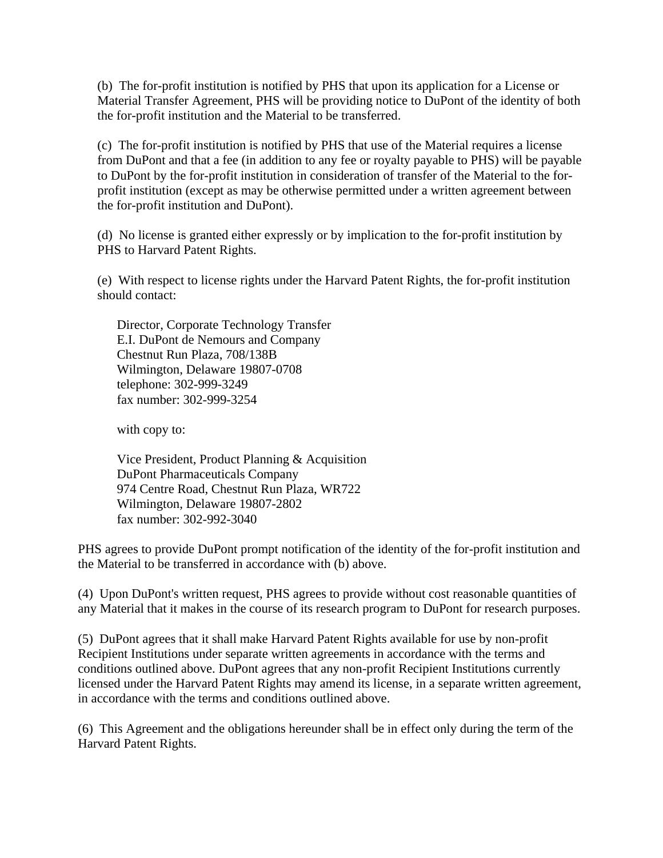(b) The for-profit institution is notified by PHS that upon its application for a License or Material Transfer Agreement, PHS will be providing notice to DuPont of the identity of both the for-profit institution and the Material to be transferred.

(c) The for-profit institution is notified by PHS that use of the Material requires a license from DuPont and that a fee (in addition to any fee or royalty payable to PHS) will be payable to DuPont by the for-profit institution in consideration of transfer of the Material to the forprofit institution (except as may be otherwise permitted under a written agreement between the for-profit institution and DuPont).

(d) No license is granted either expressly or by implication to the for-profit institution by PHS to Harvard Patent Rights.

(e) With respect to license rights under the Harvard Patent Rights, the for-profit institution should contact:

Director, Corporate Technology Transfer E.I. DuPont de Nemours and Company Chestnut Run Plaza, 708/138B Wilmington, Delaware 19807-0708 telephone: 302-999-3249 fax number: 302-999-3254

with copy to:

Vice President, Product Planning & Acquisition DuPont Pharmaceuticals Company 974 Centre Road, Chestnut Run Plaza, WR722 Wilmington, Delaware 19807-2802 fax number: 302-992-3040

PHS agrees to provide DuPont prompt notification of the identity of the for-profit institution and the Material to be transferred in accordance with (b) above.

(4) Upon DuPont's written request, PHS agrees to provide without cost reasonable quantities of any Material that it makes in the course of its research program to DuPont for research purposes.

(5) DuPont agrees that it shall make Harvard Patent Rights available for use by non-profit Recipient Institutions under separate written agreements in accordance with the terms and conditions outlined above. DuPont agrees that any non-profit Recipient Institutions currently licensed under the Harvard Patent Rights may amend its license, in a separate written agreement, in accordance with the terms and conditions outlined above.

(6) This Agreement and the obligations hereunder shall be in effect only during the term of the Harvard Patent Rights.